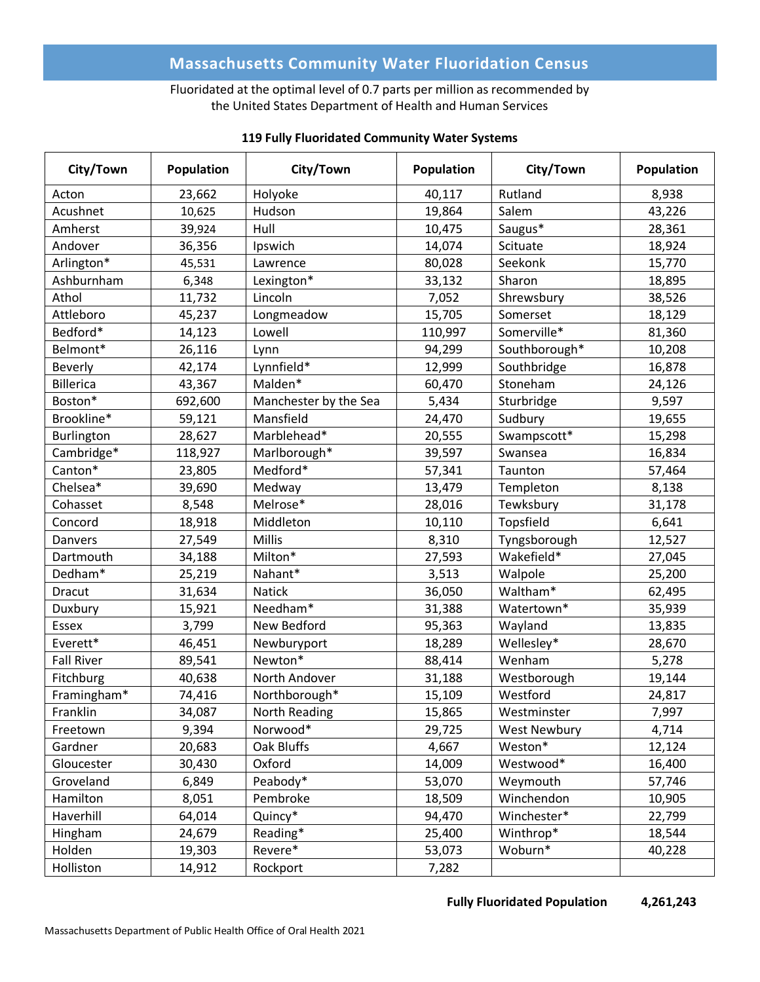# **Massachusetts Community Water Fluoridation Census**

## Fluoridated at the optimal level of 0.7 parts per million as recommended by the United States Department of Health and Human Services

| City/Town         | Population | City/Town             | <b>Population</b> | City/Town           | Population |
|-------------------|------------|-----------------------|-------------------|---------------------|------------|
| Acton             | 23,662     | Holyoke               | 40,117            | Rutland             | 8,938      |
| Acushnet          | 10,625     | Hudson                | 19,864            | Salem               | 43,226     |
| Amherst           | 39,924     | Hull                  | 10,475            | Saugus*             | 28,361     |
| Andover           | 36,356     | Ipswich               | 14,074            | Scituate            | 18,924     |
| Arlington*        | 45,531     | Lawrence              | 80,028            | Seekonk             | 15,770     |
| Ashburnham        | 6,348      | Lexington*            | 33,132            | Sharon              | 18,895     |
| Athol             | 11,732     | Lincoln               | 7,052             | Shrewsbury          | 38,526     |
| Attleboro         | 45,237     | Longmeadow            | 15,705            | Somerset            | 18,129     |
| Bedford*          | 14,123     | Lowell                | 110,997           | Somerville*         | 81,360     |
| Belmont*          | 26,116     | Lynn                  | 94,299            | Southborough*       | 10,208     |
| <b>Beverly</b>    | 42,174     | Lynnfield*            | 12,999            | Southbridge         | 16,878     |
| <b>Billerica</b>  | 43,367     | Malden*               | 60,470            | Stoneham            | 24,126     |
| Boston*           | 692,600    | Manchester by the Sea | 5,434             | Sturbridge          | 9,597      |
| Brookline*        | 59,121     | Mansfield             | 24,470            | Sudbury             | 19,655     |
| Burlington        | 28,627     | Marblehead*           | 20,555            | Swampscott*         | 15,298     |
| Cambridge*        | 118,927    | Marlborough*          | 39,597            | Swansea             | 16,834     |
| Canton*           | 23,805     | Medford*              | 57,341            | Taunton             | 57,464     |
| Chelsea*          | 39,690     | Medway                | 13,479            | Templeton           | 8,138      |
| Cohasset          | 8,548      | Melrose*              | 28,016            | Tewksbury           | 31,178     |
| Concord           | 18,918     | Middleton             | 10,110            | Topsfield           | 6,641      |
| Danvers           | 27,549     | Millis                | 8,310             | Tyngsborough        | 12,527     |
| Dartmouth         | 34,188     | Milton*               | 27,593            | Wakefield*          | 27,045     |
| Dedham*           | 25,219     | Nahant*               | 3,513             | Walpole             | 25,200     |
| Dracut            | 31,634     | <b>Natick</b>         | 36,050            | Waltham*            | 62,495     |
| Duxbury           | 15,921     | Needham*              | 31,388            | Watertown*          | 35,939     |
| Essex             | 3,799      | New Bedford           | 95,363            | Wayland             | 13,835     |
| Everett*          | 46,451     | Newburyport           | 18,289            | Wellesley*          | 28,670     |
| <b>Fall River</b> | 89,541     | Newton*               | 88,414            | Wenham              | 5,278      |
| Fitchburg         | 40,638     | North Andover         | 31,188            | Westborough         | 19,144     |
| Framingham*       | 74,416     | Northborough*         | 15,109            | Westford            | 24,817     |
| Franklin          | 34,087     | North Reading         | 15,865            | Westminster         | 7,997      |
| Freetown          | 9,394      | Norwood*              | 29,725            | <b>West Newbury</b> | 4,714      |
| Gardner           | 20,683     | Oak Bluffs            | 4,667             | Weston*             | 12,124     |
| Gloucester        | 30,430     | Oxford                | 14,009            | Westwood*           | 16,400     |
| Groveland         | 6,849      | Peabody*              | 53,070            | Weymouth            | 57,746     |
| Hamilton          | 8,051      | Pembroke              | 18,509            | Winchendon          | 10,905     |
| Haverhill         | 64,014     | Quincy*               | 94,470            | Winchester*         | 22,799     |
| Hingham           | 24,679     | Reading*              | 25,400            | Winthrop*           | 18,544     |
| Holden            | 19,303     | Revere*               | 53,073            | Woburn*             | 40,228     |
| Holliston         | 14,912     | Rockport              | 7,282             |                     |            |

#### **119 Fully Fluoridated Community Water Systems**